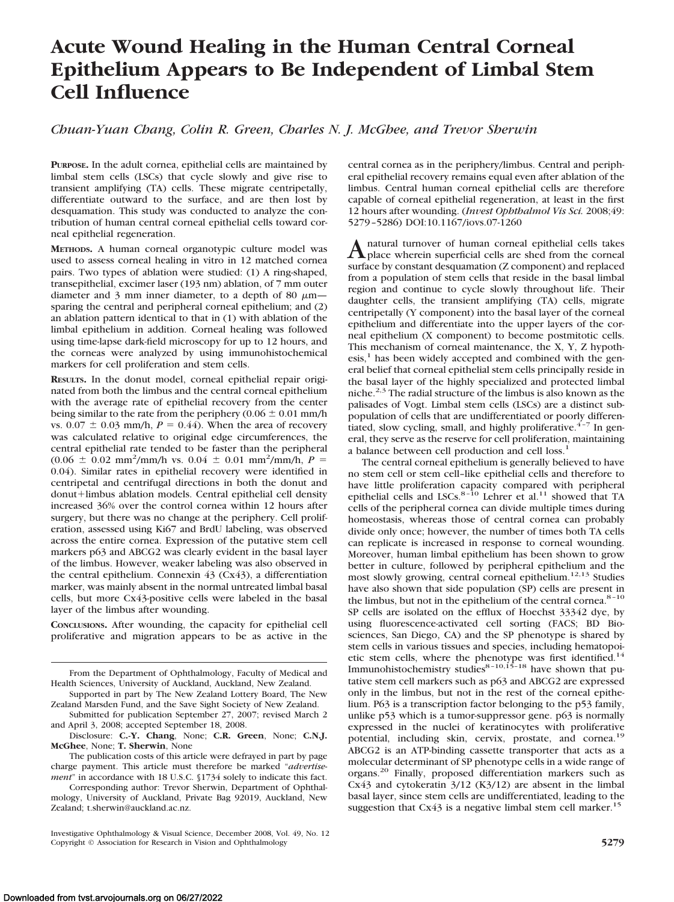# **Acute Wound Healing in the Human Central Corneal Epithelium Appears to Be Independent of Limbal Stem Cell Influence**

*Chuan-Yuan Chang, Colin R. Green, Charles N. J. McGhee, and Trevor Sherwin*

**PURPOSE.** In the adult cornea, epithelial cells are maintained by limbal stem cells (LSCs) that cycle slowly and give rise to transient amplifying (TA) cells. These migrate centripetally, differentiate outward to the surface, and are then lost by desquamation. This study was conducted to analyze the contribution of human central corneal epithelial cells toward corneal epithelial regeneration.

**METHODS.** A human corneal organotypic culture model was used to assess corneal healing in vitro in 12 matched cornea pairs. Two types of ablation were studied: (1) A ring-shaped, transepithelial, excimer laser (193 nm) ablation, of 7 mm outer diameter and 3 mm inner diameter, to a depth of 80  $\mu$ m $$ sparing the central and peripheral corneal epithelium; and (2) an ablation pattern identical to that in (1) with ablation of the limbal epithelium in addition. Corneal healing was followed using time-lapse dark-field microscopy for up to 12 hours, and the corneas were analyzed by using immunohistochemical markers for cell proliferation and stem cells.

**RESULTS.** In the donut model, corneal epithelial repair originated from both the limbus and the central corneal epithelium with the average rate of epithelial recovery from the center being similar to the rate from the periphery (0.06  $\pm$  0.01 mm/h vs.  $0.07 \pm 0.03$  mm/h,  $P = 0.44$ ). When the area of recovery was calculated relative to original edge circumferences, the central epithelial rate tended to be faster than the peripheral  $(0.06 \pm 0.02 \text{ mm}^2/\text{mm/h} \text{ vs. } 0.04 \pm 0.01 \text{ mm}^2/\text{mm/h}, P =$ 0.04). Similar rates in epithelial recovery were identified in centripetal and centrifugal directions in both the donut and donut+limbus ablation models. Central epithelial cell density increased 36% over the control cornea within 12 hours after surgery, but there was no change at the periphery. Cell proliferation, assessed using Ki67 and BrdU labeling, was observed across the entire cornea. Expression of the putative stem cell markers p63 and ABCG2 was clearly evident in the basal layer of the limbus. However, weaker labeling was also observed in the central epithelium. Connexin 43 (Cx43), a differentiation marker, was mainly absent in the normal untreated limbal basal cells, but more Cx43-positive cells were labeled in the basal layer of the limbus after wounding.

**CONCLUSIONS.** After wounding, the capacity for epithelial cell proliferative and migration appears to be as active in the central cornea as in the periphery/limbus. Central and peripheral epithelial recovery remains equal even after ablation of the limbus. Central human corneal epithelial cells are therefore capable of corneal epithelial regeneration, at least in the first 12 hours after wounding. (*Invest Ophthalmol Vis Sci.* 2008;49: 5279–5286) DOI:10.1167/iovs.07-1260

A natural turnover of human corneal epithelial cells takes<br>place wherein superficial cells are shed from the corneal surface by constant desquamation (Z component) and replaced from a population of stem cells that reside in the basal limbal region and continue to cycle slowly throughout life. Their daughter cells, the transient amplifying (TA) cells, migrate centripetally (Y component) into the basal layer of the corneal epithelium and differentiate into the upper layers of the corneal epithelium (X component) to become postmitotic cells. This mechanism of corneal maintenance, the X, Y, Z hypoth $e$ sis,<sup>1</sup> has been widely accepted and combined with the general belief that corneal epithelial stem cells principally reside in the basal layer of the highly specialized and protected limbal niche.2,3 The radial structure of the limbus is also known as the palisades of Vogt. Limbal stem cells (LSCs) are a distinct subpopulation of cells that are undifferentiated or poorly differentiated, slow cycling, small, and highly proliferative. $4-7$  In general, they serve as the reserve for cell proliferation, maintaining a balance between cell production and cell loss.<sup>1</sup>

The central corneal epithelium is generally believed to have no stem cell or stem cell–like epithelial cells and therefore to have little proliferation capacity compared with peripheral epithelial cells and LSCs. $8-10$  Lehrer et al.<sup>11</sup> showed that TA cells of the peripheral cornea can divide multiple times during homeostasis, whereas those of central cornea can probably divide only once; however, the number of times both TA cells can replicate is increased in response to corneal wounding. Moreover, human limbal epithelium has been shown to grow better in culture, followed by peripheral epithelium and the most slowly growing, central corneal epithelium.<sup>12,13</sup> Studies have also shown that side population (SP) cells are present in the limbus, but not in the epithelium of the central cornea.<sup>8-10</sup> SP cells are isolated on the efflux of Hoechst 33342 dye, by using fluorescence-activated cell sorting (FACS; BD Biosciences, San Diego, CA) and the SP phenotype is shared by stem cells in various tissues and species, including hematopoietic stem cells, where the phenotype was first identified.<sup>14</sup> Immunohistochemistry studies<sup>8-10,15-18</sup> have shown that putative stem cell markers such as p63 and ABCG2 are expressed only in the limbus, but not in the rest of the corneal epithelium. P63 is a transcription factor belonging to the p53 family, unlike p53 which is a tumor-suppressor gene. p63 is normally expressed in the nuclei of keratinocytes with proliferative potential, including skin, cervix, prostate, and cornea.<sup>19</sup> ABCG2 is an ATP-binding cassette transporter that acts as a molecular determinant of SP phenotype cells in a wide range of organs.20 Finally, proposed differentiation markers such as Cx43 and cytokeratin 3/12 (K3/12) are absent in the limbal basal layer, since stem cells are undifferentiated, leading to the suggestion that  $Cx43$  is a negative limbal stem cell marker.<sup>15</sup>

From the Department of Ophthalmology, Faculty of Medical and Health Sciences, University of Auckland, Auckland, New Zealand.

Supported in part by The New Zealand Lottery Board, The New Zealand Marsden Fund, and the Save Sight Society of New Zealand.

Submitted for publication September 27, 2007; revised March 2 and April 3, 2008; accepted September 18, 2008.

Disclosure: **C.-Y. Chang**, None; **C.R. Green**, None; **C.N.J. McGhee**, None; **T. Sherwin**, None

The publication costs of this article were defrayed in part by page charge payment. This article must therefore be marked "*advertisement*" in accordance with 18 U.S.C. §1734 solely to indicate this fact.

Corresponding author: Trevor Sherwin, Department of Ophthalmology, University of Auckland, Private Bag 92019, Auckland, New Zealand; t.sherwin@auckland.ac.nz.

Investigative Ophthalmology & Visual Science, December 2008, Vol. 49, No. 12 Copyright © Association for Research in Vision and Ophthalmology **5279**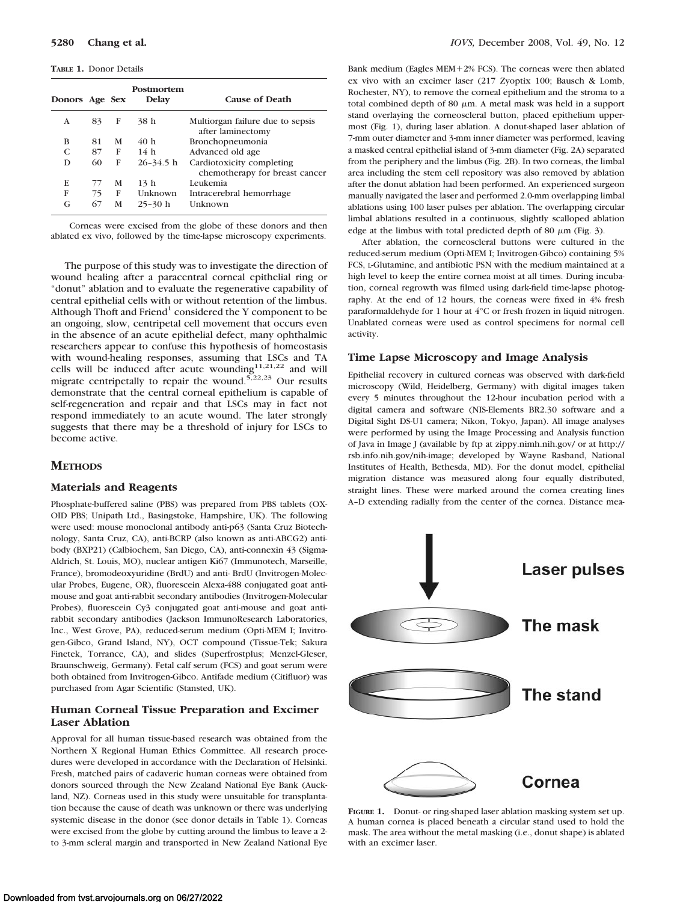**TABLE 1.** Donor Details

| Donors Age Sex |    |   | Postmortem<br>Delay | <b>Cause of Death</b>                                       |
|----------------|----|---|---------------------|-------------------------------------------------------------|
| A              | 83 | F | 38 h                | Multiorgan failure due to sepsis<br>after laminectomy       |
| в              | 81 | M | 40 h                | Bronchopneumonia                                            |
| C              | 87 | F | 14h                 | Advanced old age                                            |
| D              | 60 | F | $26 - 34.5$ h       | Cardiotoxicity completing<br>chemotherapy for breast cancer |
| E              | 77 | M | 13 <sub>h</sub>     | Leukemia                                                    |
| F              | 75 | F | Unknown             | Intracerebral hemorrhage                                    |
| G              | 67 | M | $25-30h$            | Unknown                                                     |

Corneas were excised from the globe of these donors and then ablated ex vivo, followed by the time-lapse microscopy experiments.

The purpose of this study was to investigate the direction of wound healing after a paracentral corneal epithelial ring or "donut" ablation and to evaluate the regenerative capability of central epithelial cells with or without retention of the limbus. Although Thoft and Friend<sup>1</sup> considered the Y component to be an ongoing, slow, centripetal cell movement that occurs even in the absence of an acute epithelial defect, many ophthalmic researchers appear to confuse this hypothesis of homeostasis with wound-healing responses, assuming that LSCs and TA cells will be induced after acute wounding $11,21,22$  and will migrate centripetally to repair the wound. $5,22,23$  Our results demonstrate that the central corneal epithelium is capable of self-regeneration and repair and that LSCs may in fact not respond immediately to an acute wound. The later strongly suggests that there may be a threshold of injury for LSCs to become active.

# **METHODS**

### **Materials and Reagents**

Phosphate-buffered saline (PBS) was prepared from PBS tablets (OX-OID PBS; Unipath Ltd., Basingstoke, Hampshire, UK). The following were used: mouse monoclonal antibody anti-p63 (Santa Cruz Biotechnology, Santa Cruz, CA), anti-BCRP (also known as anti-ABCG2) antibody (BXP21) (Calbiochem, San Diego, CA), anti-connexin 43 (Sigma-Aldrich, St. Louis, MO), nuclear antigen Ki67 (Immunotech, Marseille, France), bromodeoxyuridine (BrdU) and anti- BrdU (Invitrogen-Molecular Probes, Eugene, OR), fluorescein Alexa-488 conjugated goat antimouse and goat anti-rabbit secondary antibodies (Invitrogen-Molecular Probes), fluorescein Cy3 conjugated goat anti-mouse and goat antirabbit secondary antibodies (Jackson ImmunoResearch Laboratories, Inc., West Grove, PA), reduced-serum medium (Opti-MEM I; Invitrogen-Gibco, Grand Island, NY), OCT compound (Tissue-Tek; Sakura Finetek, Torrance, CA), and slides (Superfrostplus; Menzel-Gleser, Braunschweig, Germany). Fetal calf serum (FCS) and goat serum were both obtained from Invitrogen-Gibco. Antifade medium (Citifluor) was purchased from Agar Scientific (Stansted, UK).

# **Human Corneal Tissue Preparation and Excimer Laser Ablation**

Approval for all human tissue-based research was obtained from the Northern X Regional Human Ethics Committee. All research procedures were developed in accordance with the Declaration of Helsinki. Fresh, matched pairs of cadaveric human corneas were obtained from donors sourced through the New Zealand National Eye Bank (Auckland, NZ). Corneas used in this study were unsuitable for transplantation because the cause of death was unknown or there was underlying systemic disease in the donor (see donor details in Table 1). Corneas were excised from the globe by cutting around the limbus to leave a 2 to 3-mm scleral margin and transported in New Zealand National Eye

Bank medium (Eagles  $MEM+2%$  FCS). The corneas were then ablated ex vivo with an excimer laser (217 Zyoptix 100; Bausch & Lomb, Rochester, NY), to remove the corneal epithelium and the stroma to a total combined depth of 80  $\mu$ m. A metal mask was held in a support stand overlaying the corneoscleral button, placed epithelium uppermost (Fig. 1), during laser ablation. A donut-shaped laser ablation of 7-mm outer diameter and 3-mm inner diameter was performed, leaving a masked central epithelial island of 3-mm diameter (Fig. 2A) separated from the periphery and the limbus (Fig. 2B). In two corneas, the limbal area including the stem cell repository was also removed by ablation after the donut ablation had been performed. An experienced surgeon manually navigated the laser and performed 2.0-mm overlapping limbal ablations using 100 laser pulses per ablation. The overlapping circular limbal ablations resulted in a continuous, slightly scalloped ablation edge at the limbus with total predicted depth of 80  $\mu$ m (Fig. 3).

After ablation, the corneoscleral buttons were cultured in the reduced-serum medium (Opti-MEM I; Invitrogen-Gibco) containing 5% FCS, L-Glutamine, and antibiotic PSN with the medium maintained at a high level to keep the entire cornea moist at all times. During incubation, corneal regrowth was filmed using dark-field time-lapse photography. At the end of 12 hours, the corneas were fixed in 4% fresh paraformaldehyde for 1 hour at 4°C or fresh frozen in liquid nitrogen. Unablated corneas were used as control specimens for normal cell activity.

# **Time Lapse Microscopy and Image Analysis**

Epithelial recovery in cultured corneas was observed with dark-field microscopy (Wild, Heidelberg, Germany) with digital images taken every 5 minutes throughout the 12-hour incubation period with a digital camera and software (NIS-Elements BR2.30 software and a Digital Sight DS-U1 camera; Nikon, Tokyo, Japan). All image analyses were performed by using the Image Processing and Analysis function of Java in Image J (available by ftp at zippy.nimh.nih.gov/ or at http:// rsb.info.nih.gov/nih-image; developed by Wayne Rasband, National Institutes of Health, Bethesda, MD). For the donut model, epithelial migration distance was measured along four equally distributed, straight lines. These were marked around the cornea creating lines A–D extending radially from the center of the cornea. Distance mea-



**FIGURE 1.** Donut- or ring-shaped laser ablation masking system set up. A human cornea is placed beneath a circular stand used to hold the mask. The area without the metal masking (i.e., donut shape) is ablated with an excimer laser.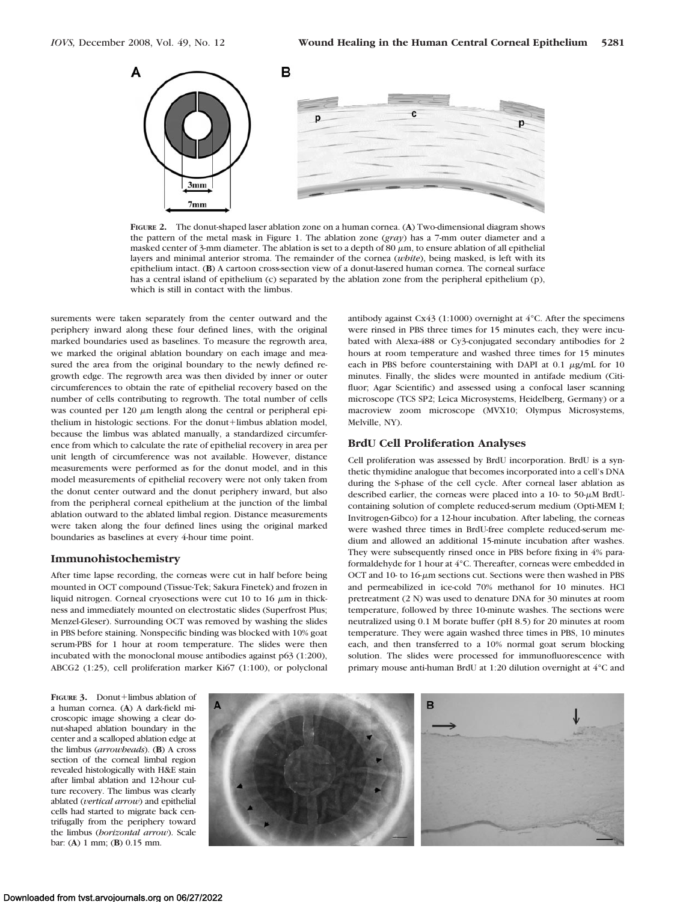

**FIGURE 2.** The donut-shaped laser ablation zone on a human cornea. (**A**) Two-dimensional diagram shows the pattern of the metal mask in Figure 1. The ablation zone (*gray*) has a 7-mm outer diameter and a masked center of 3-mm diameter. The ablation is set to a depth of 80  $\mu$ m, to ensure ablation of all epithelial layers and minimal anterior stroma. The remainder of the cornea (*white*), being masked, is left with its epithelium intact. (**B**) A cartoon cross-section view of a donut-lasered human cornea. The corneal surface has a central island of epithelium (c) separated by the ablation zone from the peripheral epithelium (p), which is still in contact with the limbus.

surements were taken separately from the center outward and the periphery inward along these four defined lines, with the original marked boundaries used as baselines. To measure the regrowth area, we marked the original ablation boundary on each image and measured the area from the original boundary to the newly defined regrowth edge. The regrowth area was then divided by inner or outer circumferences to obtain the rate of epithelial recovery based on the number of cells contributing to regrowth. The total number of cells was counted per 120  $\mu$ m length along the central or peripheral epithelium in histologic sections. For the donut+limbus ablation model, because the limbus was ablated manually, a standardized circumference from which to calculate the rate of epithelial recovery in area per unit length of circumference was not available. However, distance measurements were performed as for the donut model, and in this model measurements of epithelial recovery were not only taken from the donut center outward and the donut periphery inward, but also from the peripheral corneal epithelium at the junction of the limbal ablation outward to the ablated limbal region. Distance measurements were taken along the four defined lines using the original marked boundaries as baselines at every 4-hour time point.

## **Immunohistochemistry**

After time lapse recording, the corneas were cut in half before being mounted in OCT compound (Tissue-Tek; Sakura Finetek) and frozen in liquid nitrogen. Corneal cryosections were cut 10 to 16  $\mu$ m in thickness and immediately mounted on electrostatic slides (Superfrost Plus; Menzel-Gleser). Surrounding OCT was removed by washing the slides in PBS before staining. Nonspecific binding was blocked with 10% goat serum-PBS for 1 hour at room temperature. The slides were then incubated with the monoclonal mouse antibodies against p63 (1:200), ABCG2 (1:25), cell proliferation marker Ki67 (1:100), or polyclonal

antibody against Cx43 (1:1000) overnight at 4°C. After the specimens were rinsed in PBS three times for 15 minutes each, they were incubated with Alexa-488 or Cy3-conjugated secondary antibodies for 2 hours at room temperature and washed three times for 15 minutes each in PBS before counterstaining with DAPI at  $0.1 \mu g/mL$  for  $10$ minutes. Finally, the slides were mounted in antifade medium (Citifluor; Agar Scientific) and assessed using a confocal laser scanning microscope (TCS SP2; Leica Microsystems, Heidelberg, Germany) or a macroview zoom microscope (MVX10; Olympus Microsystems, Melville, NY).

## **BrdU Cell Proliferation Analyses**

Cell proliferation was assessed by BrdU incorporation. BrdU is a synthetic thymidine analogue that becomes incorporated into a cell's DNA during the S-phase of the cell cycle. After corneal laser ablation as described earlier, the corneas were placed into a 10- to  $50-\mu$ M BrdUcontaining solution of complete reduced-serum medium (Opti-MEM I; Invitrogen-Gibco) for a 12-hour incubation. After labeling, the corneas were washed three times in BrdU-free complete reduced-serum medium and allowed an additional 15-minute incubation after washes. They were subsequently rinsed once in PBS before fixing in 4% paraformaldehyde for 1 hour at 4°C. Thereafter, corneas were embedded in OCT and 10- to  $16-\mu m$  sections cut. Sections were then washed in PBS and permeabilized in ice-cold 70% methanol for 10 minutes. HCl pretreatment (2 N) was used to denature DNA for 30 minutes at room temperature, followed by three 10-minute washes. The sections were neutralized using 0.1 M borate buffer (pH 8.5) for 20 minutes at room temperature. They were again washed three times in PBS, 10 minutes each, and then transferred to a 10% normal goat serum blocking solution. The slides were processed for immunofluorescence with primary mouse anti-human BrdU at 1:20 dilution overnight at 4°C and

**FIGURE 3.** Donut+limbus ablation of a human cornea. (**A**) A dark-field microscopic image showing a clear donut-shaped ablation boundary in the center and a scalloped ablation edge at the limbus (*arrowheads*). (**B**) A cross section of the corneal limbal region revealed histologically with H&E stain after limbal ablation and 12-hour culture recovery. The limbus was clearly ablated (*vertical arrow*) and epithelial cells had started to migrate back centrifugally from the periphery toward the limbus (*horizontal arrow*). Scale bar: (**A**) 1 mm; (**B**) 0.15 mm.



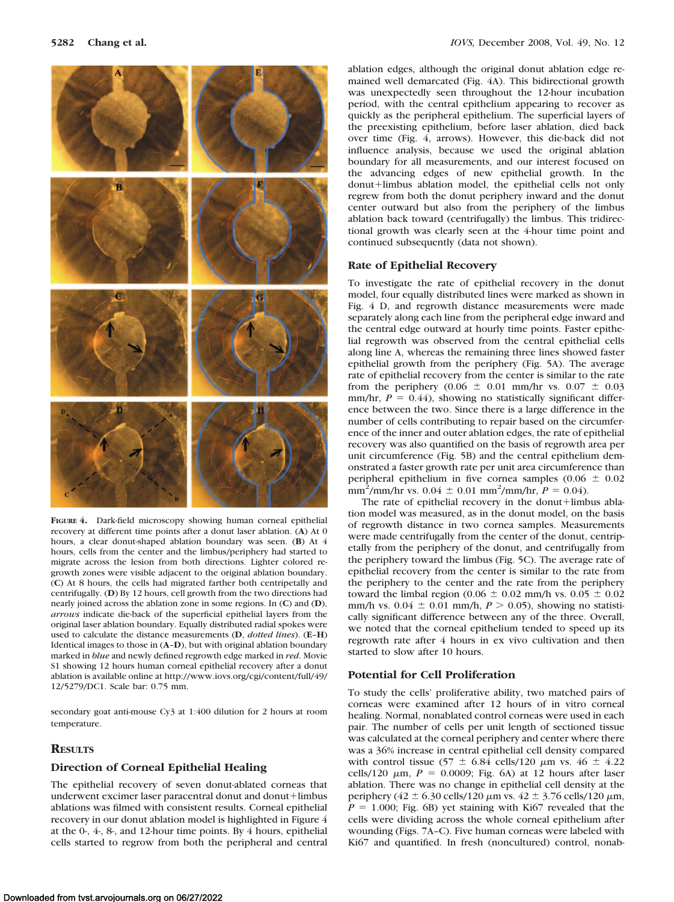

**FIGURE 4.** Dark-field microscopy showing human corneal epithelial recovery at different time points after a donut laser ablation. (**A**) At 0 hours, a clear donut-shaped ablation boundary was seen. (**B**) At 4 hours, cells from the center and the limbus/periphery had started to migrate across the lesion from both directions. Lighter colored regrowth zones were visible adjacent to the original ablation boundary. (**C**) At 8 hours, the cells had migrated farther both centripetally and centrifugally. (**D**) By 12 hours, cell growth from the two directions had nearly joined across the ablation zone in some regions. In (**C**) and (**D**), *arrows* indicate die-back of the superficial epithelial layers from the original laser ablation boundary. Equally distributed radial spokes were used to calculate the distance measurements (**D**, *dotted lines*). (**E**–**H**) Identical images to those in (**A**–**D**), but with original ablation boundary marked in *blue* and newly defined regrowth edge marked in *red*. Movie S1 showing 12 hours human corneal epithelial recovery after a donut ablation is available online at http://www.iovs.org/cgi/content/full/49/ 12/5279/DC1. Scale bar: 0.75 mm.

secondary goat anti-mouse Cy3 at 1:400 dilution for 2 hours at room temperature.

# **RESULTS**

## **Direction of Corneal Epithelial Healing**

The epithelial recovery of seven donut-ablated corneas that underwent excimer laser paracentral donut and donut+limbus ablations was filmed with consistent results. Corneal epithelial recovery in our donut ablation model is highlighted in Figure 4 at the 0-, 4-, 8-, and 12-hour time points. By 4 hours, epithelial cells started to regrow from both the peripheral and central

ablation edges, although the original donut ablation edge remained well demarcated (Fig. 4A). This bidirectional growth was unexpectedly seen throughout the 12-hour incubation period, with the central epithelium appearing to recover as quickly as the peripheral epithelium. The superficial layers of the preexisting epithelium, before laser ablation, died back over time (Fig. 4, arrows). However, this die-back did not influence analysis, because we used the original ablation boundary for all measurements, and our interest focused on the advancing edges of new epithelial growth. In the donut+limbus ablation model, the epithelial cells not only regrew from both the donut periphery inward and the donut center outward but also from the periphery of the limbus ablation back toward (centrifugally) the limbus. This tridirectional growth was clearly seen at the 4-hour time point and continued subsequently (data not shown).

## **Rate of Epithelial Recovery**

To investigate the rate of epithelial recovery in the donut model, four equally distributed lines were marked as shown in Fig. 4 D, and regrowth distance measurements were made separately along each line from the peripheral edge inward and the central edge outward at hourly time points. Faster epithelial regrowth was observed from the central epithelial cells along line A, whereas the remaining three lines showed faster epithelial growth from the periphery (Fig. 5A). The average rate of epithelial recovery from the center is similar to the rate from the periphery (0.06  $\pm$  0.01 mm/hr vs. 0.07  $\pm$  0.03  $mm/hr$ ,  $P = 0.44$ ), showing no statistically significant difference between the two. Since there is a large difference in the number of cells contributing to repair based on the circumference of the inner and outer ablation edges, the rate of epithelial recovery was also quantified on the basis of regrowth area per unit circumference (Fig. 5B) and the central epithelium demonstrated a faster growth rate per unit area circumference than peripheral epithelium in five cornea samples  $(0.06 \pm 0.02)$  $\frac{1}{2}$ /mm/hr vs. 0.04  $\pm$  0.01 mm<sup>2</sup>/mm/hr,  $P = 0.04$ ).

The rate of epithelial recovery in the donut+limbus ablation model was measured, as in the donut model, on the basis of regrowth distance in two cornea samples. Measurements were made centrifugally from the center of the donut, centripetally from the periphery of the donut, and centrifugally from the periphery toward the limbus (Fig. 5C). The average rate of epithelial recovery from the center is similar to the rate from the periphery to the center and the rate from the periphery toward the limbal region (0.06  $\pm$  0.02 mm/h vs. 0.05  $\pm$  0.02 mm/h vs.  $0.04 \pm 0.01$  mm/h,  $P > 0.05$ ), showing no statistically significant difference between any of the three. Overall, we noted that the corneal epithelium tended to speed up its regrowth rate after 4 hours in ex vivo cultivation and then started to slow after 10 hours.

#### **Potential for Cell Proliferation**

To study the cells' proliferative ability, two matched pairs of corneas were examined after 12 hours of in vitro corneal healing. Normal, nonablated control corneas were used in each pair. The number of cells per unit length of sectioned tissue was calculated at the corneal periphery and center where there was a 36% increase in central epithelial cell density compared with control tissue (57  $\pm$  6.84 cells/120  $\mu$ m vs. 46  $\pm$  4.22 cells/120  $\mu$ m,  $P = 0.0009$ ; Fig. 6A) at 12 hours after laser ablation. There was no change in epithelial cell density at the periphery ( $42 \pm 6.30$  cells/120  $\mu$ m vs.  $42 \pm 3.76$  cells/120  $\mu$ m,  $P = 1.000$ ; Fig. 6B) yet staining with Ki67 revealed that the cells were dividing across the whole corneal epithelium after wounding (Figs. 7A–C). Five human corneas were labeled with Ki67 and quantified. In fresh (noncultured) control, nonab-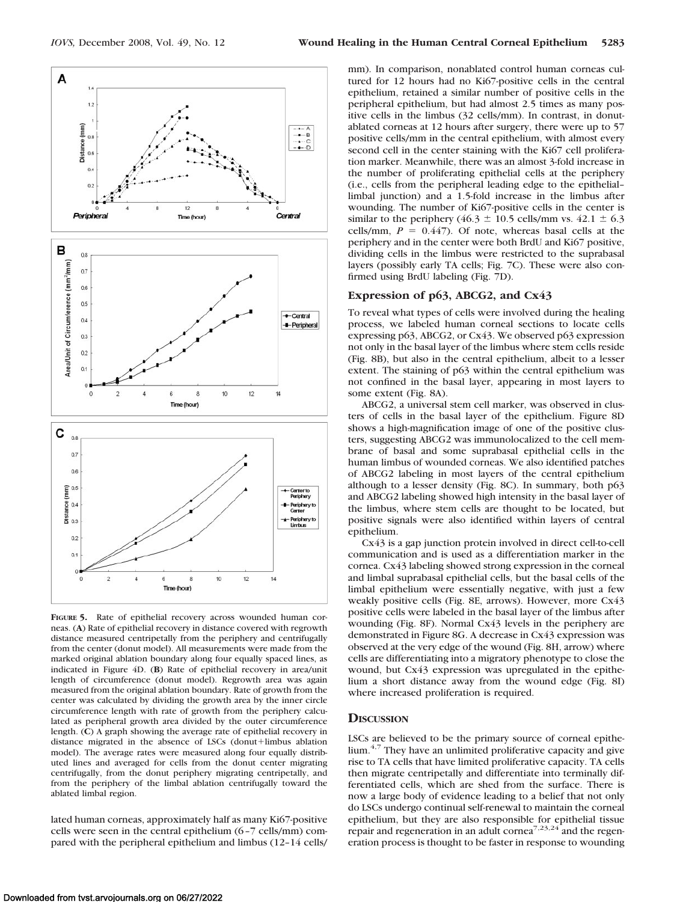

**FIGURE 5.** Rate of epithelial recovery across wounded human corneas. (**A**) Rate of epithelial recovery in distance covered with regrowth distance measured centripetally from the periphery and centrifugally from the center (donut model). All measurements were made from the marked original ablation boundary along four equally spaced lines, as indicated in Figure 4D. (**B**) Rate of epithelial recovery in area/unit length of circumference (donut model). Regrowth area was again measured from the original ablation boundary. Rate of growth from the center was calculated by dividing the growth area by the inner circle circumference length with rate of growth from the periphery calculated as peripheral growth area divided by the outer circumference length. (**C**) A graph showing the average rate of epithelial recovery in distance migrated in the absence of LSCs (donut+limbus ablation model). The average rates were measured along four equally distributed lines and averaged for cells from the donut center migrating centrifugally, from the donut periphery migrating centripetally, and from the periphery of the limbal ablation centrifugally toward the ablated limbal region.

lated human corneas, approximately half as many Ki67-positive cells were seen in the central epithelium (6–7 cells/mm) compared with the peripheral epithelium and limbus (12–14 cells/ mm). In comparison, nonablated control human corneas cultured for 12 hours had no Ki67-positive cells in the central epithelium, retained a similar number of positive cells in the peripheral epithelium, but had almost 2.5 times as many positive cells in the limbus (32 cells/mm). In contrast, in donutablated corneas at 12 hours after surgery, there were up to 57 positive cells/mm in the central epithelium, with almost every second cell in the center staining with the Ki67 cell proliferation marker. Meanwhile, there was an almost 3-fold increase in the number of proliferating epithelial cells at the periphery (i.e., cells from the peripheral leading edge to the epithelial– limbal junction) and a 1.5-fold increase in the limbus after wounding. The number of Ki67-positive cells in the center is similar to the periphery (46.3  $\pm$  10.5 cells/mm vs. 42.1  $\pm$  6.3 cells/mm,  $P = 0.447$ . Of note, whereas basal cells at the periphery and in the center were both BrdU and Ki67 positive, dividing cells in the limbus were restricted to the suprabasal layers (possibly early TA cells; Fig. 7C). These were also confirmed using BrdU labeling (Fig. 7D).

# **Expression of p63, ABCG2, and Cx43**

To reveal what types of cells were involved during the healing process, we labeled human corneal sections to locate cells expressing p63, ABCG2, or Cx43. We observed p63 expression not only in the basal layer of the limbus where stem cells reside (Fig. 8B), but also in the central epithelium, albeit to a lesser extent. The staining of p63 within the central epithelium was not confined in the basal layer, appearing in most layers to some extent (Fig. 8A).

ABCG2, a universal stem cell marker, was observed in clusters of cells in the basal layer of the epithelium. Figure 8D shows a high-magnification image of one of the positive clusters, suggesting ABCG2 was immunolocalized to the cell membrane of basal and some suprabasal epithelial cells in the human limbus of wounded corneas. We also identified patches of ABCG2 labeling in most layers of the central epithelium although to a lesser density (Fig. 8C). In summary, both p63 and ABCG2 labeling showed high intensity in the basal layer of the limbus, where stem cells are thought to be located, but positive signals were also identified within layers of central epithelium.

Cx43 is a gap junction protein involved in direct cell-to-cell communication and is used as a differentiation marker in the cornea. Cx43 labeling showed strong expression in the corneal and limbal suprabasal epithelial cells, but the basal cells of the limbal epithelium were essentially negative, with just a few weakly positive cells (Fig. 8E, arrows). However, more Cx43 positive cells were labeled in the basal layer of the limbus after wounding (Fig. 8F). Normal Cx43 levels in the periphery are demonstrated in Figure 8G. A decrease in Cx43 expression was observed at the very edge of the wound (Fig. 8H, arrow) where cells are differentiating into a migratory phenotype to close the wound, but Cx43 expression was upregulated in the epithelium a short distance away from the wound edge (Fig. 8I) where increased proliferation is required.

# **DISCUSSION**

LSCs are believed to be the primary source of corneal epithelium.4,7 They have an unlimited proliferative capacity and give rise to TA cells that have limited proliferative capacity. TA cells then migrate centripetally and differentiate into terminally differentiated cells, which are shed from the surface. There is now a large body of evidence leading to a belief that not only do LSCs undergo continual self-renewal to maintain the corneal epithelium, but they are also responsible for epithelial tissue repair and regeneration in an adult cornea<sup>7,23,24</sup> and the regeneration process is thought to be faster in response to wounding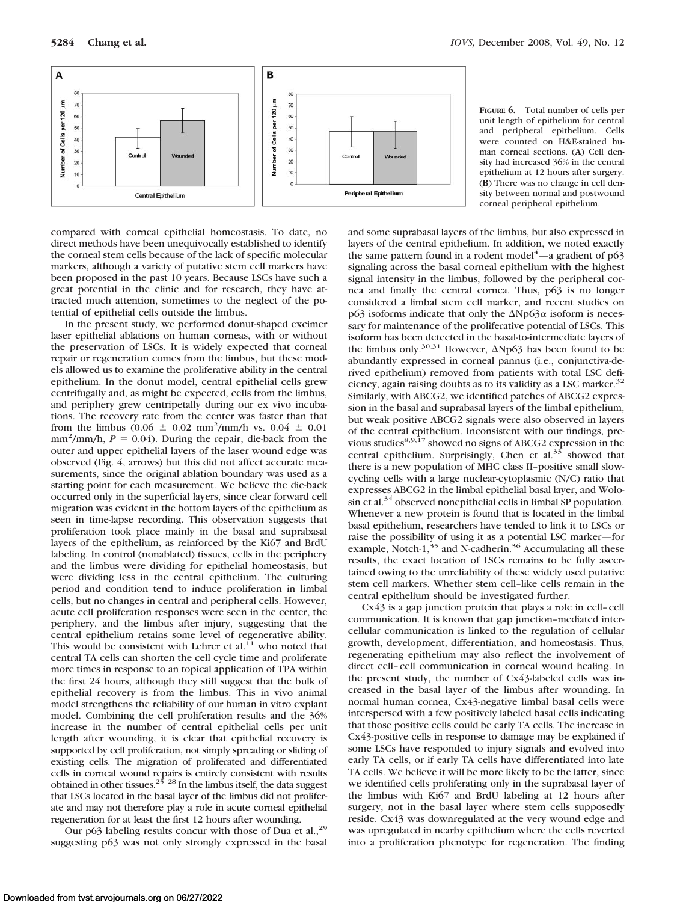

compared with corneal epithelial homeostasis. To date, no direct methods have been unequivocally established to identify the corneal stem cells because of the lack of specific molecular markers, although a variety of putative stem cell markers have been proposed in the past 10 years. Because LSCs have such a great potential in the clinic and for research, they have attracted much attention, sometimes to the neglect of the potential of epithelial cells outside the limbus.

In the present study, we performed donut-shaped excimer laser epithelial ablations on human corneas, with or without the preservation of LSCs. It is widely expected that corneal repair or regeneration comes from the limbus, but these models allowed us to examine the proliferative ability in the central epithelium. In the donut model, central epithelial cells grew centrifugally and, as might be expected, cells from the limbus, and periphery grew centripetally during our ex vivo incubations. The recovery rate from the center was faster than that from the limbus  $(0.06 \pm 0.02 \text{ mm}^2/\text{mm/h} \text{ vs. } 0.04 \pm 0.01$  $mm^2/mm/h$ ,  $P = 0.04$ ). During the repair, die-back from the outer and upper epithelial layers of the laser wound edge was observed (Fig. 4, arrows) but this did not affect accurate measurements, since the original ablation boundary was used as a starting point for each measurement. We believe the die-back occurred only in the superficial layers, since clear forward cell migration was evident in the bottom layers of the epithelium as seen in time-lapse recording. This observation suggests that proliferation took place mainly in the basal and suprabasal layers of the epithelium, as reinforced by the Ki67 and BrdU labeling. In control (nonablated) tissues, cells in the periphery and the limbus were dividing for epithelial homeostasis, but were dividing less in the central epithelium. The culturing period and condition tend to induce proliferation in limbal cells, but no changes in central and peripheral cells. However, acute cell proliferation responses were seen in the center, the periphery, and the limbus after injury, suggesting that the central epithelium retains some level of regenerative ability. This would be consistent with Lehrer et al. $^{11}$  who noted that central TA cells can shorten the cell cycle time and proliferate more times in response to an topical application of TPA within the first 24 hours, although they still suggest that the bulk of epithelial recovery is from the limbus. This in vivo animal model strengthens the reliability of our human in vitro explant model. Combining the cell proliferation results and the 36% increase in the number of central epithelial cells per unit length after wounding, it is clear that epithelial recovery is supported by cell proliferation, not simply spreading or sliding of existing cells. The migration of proliferated and differentiated cells in corneal wound repairs is entirely consistent with results obtained in other tissues.  $25-28$  In the limbus itself, the data suggest that LSCs located in the basal layer of the limbus did not proliferate and may not therefore play a role in acute corneal epithelial regeneration for at least the first 12 hours after wounding.

Our p63 labeling results concur with those of Dua et al.,<sup>29</sup> suggesting p63 was not only strongly expressed in the basal

and some suprabasal layers of the limbus, but also expressed in layers of the central epithelium. In addition, we noted exactly the same pattern found in a rodent model<sup>4</sup> $-$ a gradient of p63 signaling across the basal corneal epithelium with the highest signal intensity in the limbus, followed by the peripheral cornea and finally the central cornea. Thus, p63 is no longer considered a limbal stem cell marker, and recent studies on p63 isoforms indicate that only the  $\Delta Np63\alpha$  isoform is necessary for maintenance of the proliferative potential of LSCs. This isoform has been detected in the basal-to-intermediate layers of the limbus only.<sup>30,31</sup> However,  $\Delta Np63$  has been found to be abundantly expressed in corneal pannus (i.e., conjunctiva-derived epithelium) removed from patients with total LSC deficiency, again raising doubts as to its validity as a LSC marker. $32$ Similarly, with ABCG2, we identified patches of ABCG2 expression in the basal and suprabasal layers of the limbal epithelium, but weak positive ABCG2 signals were also observed in layers of the central epithelium. Inconsistent with our findings, previous studies<sup>8,9,17</sup> showed no signs of ABCG2 expression in the central epithelium. Surprisingly, Chen et al. $33$  showed that there is a new population of MHC class II–positive small slowcycling cells with a large nuclear-cytoplasmic (N/C) ratio that expresses ABCG2 in the limbal epithelial basal layer, and Wolosin et al. $34$  observed nonepithelial cells in limbal SP population. Whenever a new protein is found that is located in the limbal basal epithelium, researchers have tended to link it to LSCs or raise the possibility of using it as a potential LSC marker—for example, Notch- $1<sup>35</sup>$  and N-cadherin.<sup>36</sup> Accumulating all these results, the exact location of LSCs remains to be fully ascertained owing to the unreliability of these widely used putative stem cell markers. Whether stem cell–like cells remain in the central epithelium should be investigated further.

Cx43 is a gap junction protein that plays a role in cell–cell communication. It is known that gap junction–mediated intercellular communication is linked to the regulation of cellular growth, development, differentiation, and homeostasis. Thus, regenerating epithelium may also reflect the involvement of direct cell–cell communication in corneal wound healing. In the present study, the number of Cx43-labeled cells was increased in the basal layer of the limbus after wounding. In normal human cornea, Cx43-negative limbal basal cells were interspersed with a few positively labeled basal cells indicating that those positive cells could be early TA cells. The increase in Cx43-positive cells in response to damage may be explained if some LSCs have responded to injury signals and evolved into early TA cells, or if early TA cells have differentiated into late TA cells. We believe it will be more likely to be the latter, since we identified cells proliferating only in the suprabasal layer of the limbus with Ki67 and BrdU labeling at 12 hours after surgery, not in the basal layer where stem cells supposedly reside. Cx43 was downregulated at the very wound edge and was upregulated in nearby epithelium where the cells reverted into a proliferation phenotype for regeneration. The finding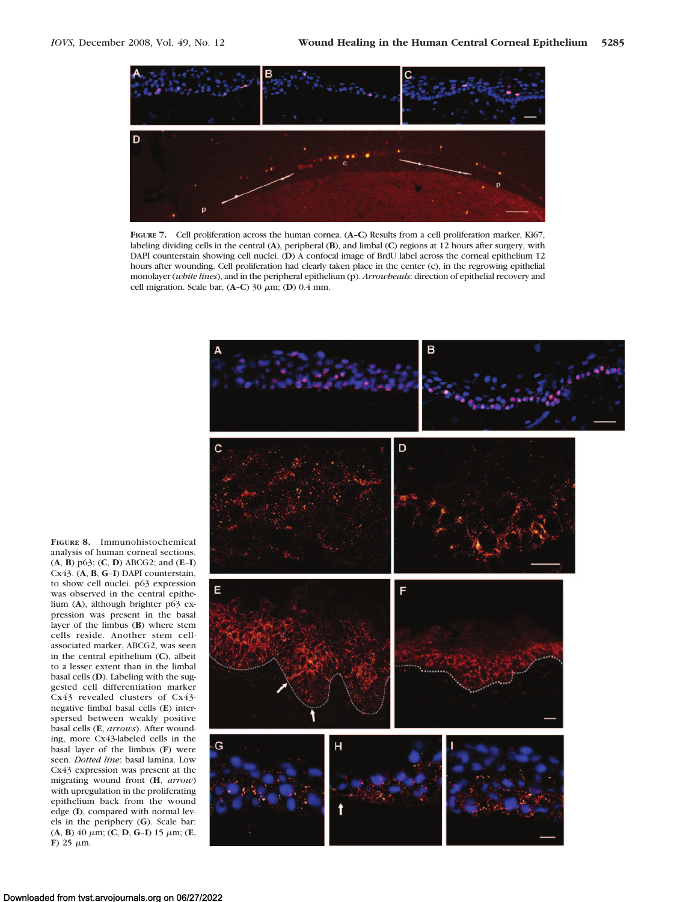

**FIGURE 7.** Cell proliferation across the human cornea. (**A**–**C**) Results from a cell proliferation marker, Ki67, labeling dividing cells in the central (**A**), peripheral (**B**), and limbal (**C**) regions at 12 hours after surgery, with DAPI counterstain showing cell nuclei. (**D**) A confocal image of BrdU label across the corneal epithelium 12 hours after wounding. Cell proliferation had clearly taken place in the center (c), in the regrowing epithelial monolayer (*white lines*), and in the peripheral epithelium (p). *Arrowheads*: direction of epithelial recovery and cell migration. Scale bar,  $(A-C)$  30  $\mu$ m; **(D)** 0.4 mm.



**FIGURE 8.** Immunohistochemical analysis of human corneal sections. (**A**, **B**) p63; (**C**, **D**) ABCG2; and (**E**–**I**) Cx43. (**A**, **B**, **G**–**I**) DAPI counterstain, to show cell nuclei. p63 expression was observed in the central epithelium (**A**), although brighter p63 expression was present in the basal layer of the limbus (**B**) where stem cells reside. Another stem cellassociated marker, ABCG2, was seen in the central epithelium (**C**), albeit to a lesser extent than in the limbal basal cells (**D**). Labeling with the suggested cell differentiation marker Cx43 revealed clusters of Cx43 negative limbal basal cells (**E**) interspersed between weakly positive basal cells (**E**, *arrows*). After wounding, more Cx43-labeled cells in the basal layer of the limbus (**F**) were seen. *Dotted line*: basal lamina. Low Cx43 expression was present at the migrating wound front (**H**, *arrow*) with upregulation in the proliferating epithelium back from the wound edge (**I**), compared with normal levels in the periphery (**G**). Scale bar: (**A**, **B**) 40 m; (**C**, **D**, **G**–**I**) 15 m; (**E**, **F**) 25  $\mu$ m.